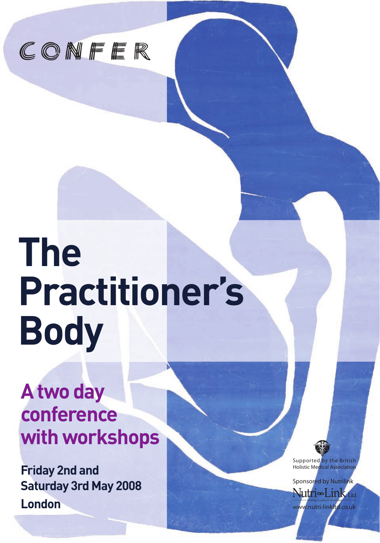

# **The Practitioner's Body**

# **A two day conference with workshops**

**Friday 2nd and Saturday 3rd May 2008 London** 

Supported by the British **Holistic Medical Associati** 

Sponsored by Nutrilink Nutri∞Link www.nutri-linkltd.co.uk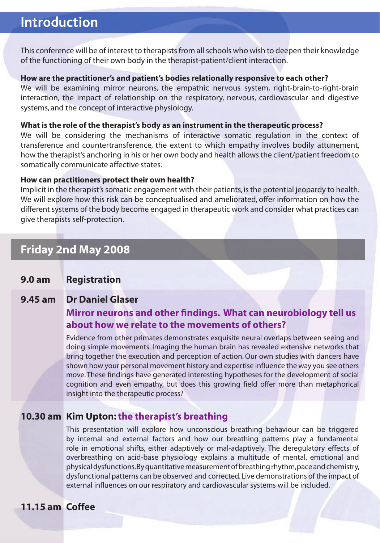# **Introduction**

This conference will be of interest to therapists from all schools who wish to deepen their knowledge of the functioning of their own body in the therapist-patient/client interaction.

#### **How are the practitioner's and patient's bodies relationally responsive to each other?**

We will be examining mirror neurons, the empathic nervous system, right-brain-to-right-brain interaction, the impact of relationship on the respiratory, nervous, cardiovascular and digestive systems, and the concept of interactive physiology.

#### **What is the role of the therapist's body as an instrument in the therapeutic process?**

We will be considering the mechanisms of interactive somatic regulation in the context of transference and countertransference, the extent to which empathy involves bodily attunement, how the therapist's anchoring in his or her own body and health allows the client/patient freedom to somatically communicate affective states.

#### **How can practitioners protect their own health?**

Implicit in the therapist's somatic engagement with their patients, is the potential jeopardy to health. We will explore how this risk can be conceptualised and ameliorated, offer information on how the different systems of the body become engaged in therapeutic work and consider what practices can give therapists self-protection.

# **Friday 2nd May 2008**

# **9.0 am Registration**

## **9.45 am Dr Daniel Glaser**

# **Mirror neurons and other findings. What can neurobiology tell us about how we relate to the movements of others?**

 Evidence from other primates demonstrates exquisite neural overlaps between seeing and doing simple movements. Imaging the human brain has revealed extensive networks that bring together the execution and perception of action. Our own studies with dancers have shown how your personal movement history and expertise influence the way you see others move. These findings have generated interesting hypotheses for the development of social cognition and even empathy, but does this growing field offer more than metaphorical insight into the therapeutic process?

# **10.30 am Kim Upton:the therapist's breathing**

 This presentation will explore how unconscious breathing behaviour can be triggered by internal and external factors and how our breathing patterns play a fundamental role in emotional shifts, either adaptively or mal-adaptively. The deregulatory effects of overbreathing on acid-base physiology explains a multitude of mental, emotional and physical dysfunctions. By quantitative measurement of breathing rhythm, pace and chemistry, dysfunctional patterns can be observed and corrected. Live demonstrations of the impact of external influences on our respiratory and cardiovascular systems will be included.

# **11.15 am Coffee**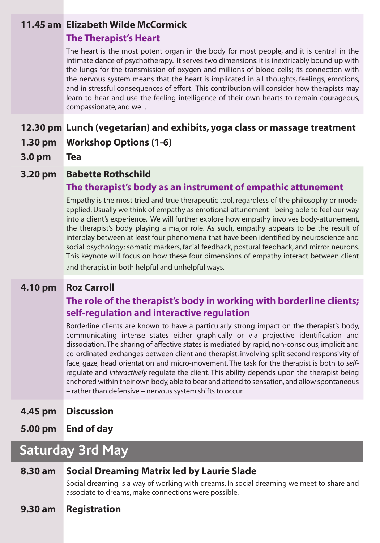# **11.45 am Elizabeth Wilde McCormick**

## **The Therapist's Heart**

The heart is the most potent organ in the body for most people, and it is central in the intimate dance of psychotherapy. It serves two dimensions: it is inextricably bound up with the lungs for the transmission of oxygen and millions of blood cells; its connection with the nervous system means that the heart is implicated in all thoughts, feelings, emotions, and in stressful consequences of effort. This contribution will consider how therapists may learn to hear and use the feeling intelligence of their own hearts to remain courageous, compassionate, and well.

# **12.30 pm Lunch (vegetarian) and exhibits, yoga class or massage treatment**

- **1.30 pm Workshop Options (1-6)**
- **3.0 pm Tea**

## **3.20 pm Babette Rothschild**

# **The therapist's body as an instrument of empathic attunement**

 Empathy is the most tried and true therapeutic tool, regardless of the philosophy or model applied. Usually we think of empathy as emotional attunement - being able to feel our way into a client's experience. We will further explore how empathy involves body-attunement, the therapist's body playing a major role. As such, empathy appears to be the result of interplay between at least four phenomena that have been identified by neuroscience and social psychology: somatic markers, facial feedback, postural feedback, and mirror neurons. This keynote will focus on how these four dimensions of empathy interact between client and therapist in both helpful and unhelpful ways.

# **4.10 pm Roz Carroll**

# **The role of the therapist's body in working with borderline clients; self-regulation and interactive regulation**

 Borderline clients are known to have a particularly strong impact on the therapist's body, communicating intense states either graphically or via projective identification and dissociation. The sharing of affective states is mediated by rapid, non-conscious, implicit and co-ordinated exchanges between client and therapist, involving split-second responsivity of face, gaze, head orientation and micro-movement. The task for the therapist is both to *self*regulate and *interactively* regulate the client. This ability depends upon the therapist being anchored within their own body, able to bear and attend to sensation, and allow spontaneous – rather than defensive – nervous system shifts to occur.

- **4.45 pm Discussion**
- **5.00 pm End of day**

# **Saturday 3rd May**

# **8.30 am Social Dreaming Matrix led by Laurie Slade**

 Social dreaming is a way of working with dreams. In social dreaming we meet to share and associate to dreams, make connections were possible.

**9.30 am Registration**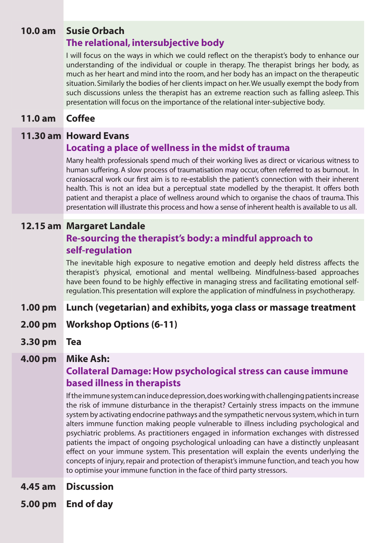# **10.0 am Susie Orbach**

# **The relational, intersubjective body**

I will focus on the ways in which we could reflect on the therapist's body to enhance our understanding of the individual or couple in therapy. The therapist brings her body, as much as her heart and mind into the room, and her body has an impact on the therapeutic situation. Similarly the bodies of her clients impact on her. We usually exempt the body from such discussions unless the therapist has an extreme reaction such as falling asleep. This presentation will focus on the importance of the relational inter-subjective body.

## **11.0 am Coffee**

## **11.30 am Howard Evans**

# **Locating a place of wellness in the midst of trauma**

Many health professionals spend much of their working lives as direct or vicarious witness to human suffering. A slow process of traumatisation may occur, often referred to as burnout. In craniosacral work our first aim is to re-establish the patient's connection with their inherent health. This is not an idea but a perceptual state modelled by the therapist. It offers both patient and therapist a place of wellness around which to organise the chaos of trauma. This presentation will illustrate this process and how a sense of inherent health is available to us all.

## **12.15 am Margaret Landale**

# **Re-sourcing the therapist's body: a mindful approach to self-regulation**

The inevitable high exposure to negative emotion and deeply held distress affects the therapist's physical, emotional and mental wellbeing. Mindfulness-based approaches have been found to be highly effective in managing stress and facilitating emotional selfregulation. This presentation will explore the application of mindfulness in psychotherapy.

# **1.00 pm Lunch (vegetarian) and exhibits, yoga class or massage treatment**

- **2.00 pm Workshop Options (6-11)**
- **3.30 pm Tea**

## **4.00 pm Mike Ash:**

# **Collateral Damage: How psychological stress can cause immune based illness in therapists**

If the immune system can induce depression, does working with challenging patients increase the risk of immune disturbance in the therapist? Certainly stress impacts on the immune system by activating endocrine pathways and the sympathetic nervous system, which in turn alters immune function making people vulnerable to illness including psychological and psychiatric problems. As practitioners engaged in information exchanges with distressed patients the impact of ongoing psychological unloading can have a distinctly unpleasant effect on your immune system. This presentation will explain the events underlying the concepts of injury, repair and protection of therapist's immune function, and teach you how to optimise your immune function in the face of third party stressors.

- **4.45 am Discussion**
- **5.00 pm End of day**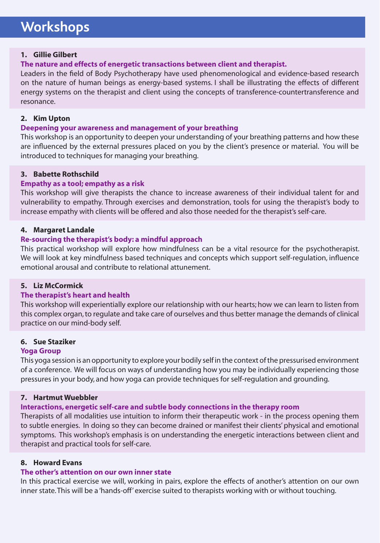# **Workshops**

#### **1. Gillie Gilbert**

#### **The nature and effects of energetic transactions between client and therapist.**

Leaders in the field of Body Psychotherapy have used phenomenological and evidence-based research on the nature of human beings as energy-based systems. I shall be illustrating the effects of different energy systems on the therapist and client using the concepts of transference-countertransference and resonance.

#### **2. Kim Upton**

#### **Deepening your awareness and management of your breathing**

This workshop is an opportunity to deepen your understanding of your breathing patterns and how these are influenced by the external pressures placed on you by the client's presence or material. You will be introduced to techniques for managing your breathing.

#### **3. Babette Rothschild**

#### **Empathy as a tool; empathy as a risk**

This workshop will give therapists the chance to increase awareness of their individual talent for and vulnerability to empathy. Through exercises and demonstration, tools for using the therapist's body to increase empathy with clients will be offered and also those needed for the therapist's self-care.

#### **4. Margaret Landale**

#### **Re-sourcing the therapist's body: a mindful approach**

This practical workshop will explore how mindfulness can be a vital resource for the psychotherapist. We will look at key mindfulness based techniques and concepts which support self-regulation, influence emotional arousal and contribute to relational attunement.

#### **5. Liz McCormick**

#### **The therapist's heart and health**

This workshop will experientially explore our relationship with our hearts; how we can learn to listen from this complex organ, to regulate and take care of ourselves and thus better manage the demands of clinical practice on our mind-body self.

#### **6. Sue Staziker**

#### **Yoga Group**

This yoga session is an opportunity to explore your bodily self in the context of the pressurised environment of a conference. We will focus on ways of understanding how you may be individually experiencing those pressures in your body, and how yoga can provide techniques for self-regulation and grounding.

#### **7. Hartmut Wuebbler**

#### **Interactions, energetic self-care and subtle body connections in the therapy room**

Therapists of all modalities use intuition to inform their therapeutic work - in the process opening them to subtle energies. In doing so they can become drained or manifest their clients' physical and emotional symptoms. This workshop's emphasis is on understanding the energetic interactions between client and therapist and practical tools for self-care.

#### **8. Howard Evans**

#### **The other's attention on our own inner state**

In this practical exercise we will, working in pairs, explore the effects of another's attention on our own inner state. This will be a 'hands-off' exercise suited to therapists working with or without touching.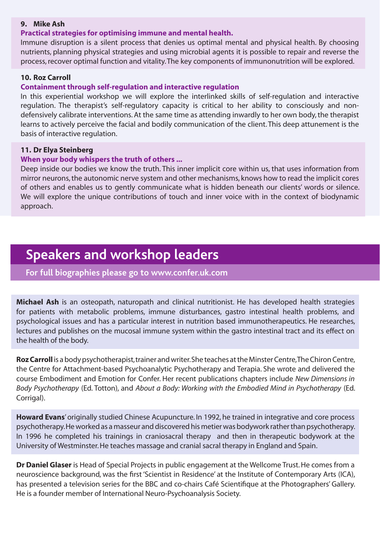#### **9. Mike Ash**

#### **Practical strategies for optimising immune and mental health.**

Immune disruption is a silent process that denies us optimal mental and physical health. By choosing nutrients, planning physical strategies and using microbial agents it is possible to repair and reverse the process, recover optimal function and vitality. The key components of immunonutrition will be explored.

#### **10. Roz Carroll**

#### **Containment through self-regulation and interactive regulation**

In this experiential workshop we will explore the interlinked skills of self-regulation and interactive regulation. The therapist's self-regulatory capacity is critical to her ability to consciously and nondefensively calibrate interventions. At the same time as attending inwardly to her own body, the therapist learns to actively perceive the facial and bodily communication of the client. This deep attunement is the basis of interactive regulation.

#### **11. Dr Elya Steinberg**

#### **When your body whispers the truth of others ...**

Deep inside our bodies we know the truth. This inner implicit core within us, that uses information from mirror neurons, the autonomic nerve system and other mechanisms, knows how to read the implicit cores of others and enables us to gently communicate what is hidden beneath our clients' words or silence. We will explore the unique contributions of touch and inner voice with in the context of biodynamic approach.

# **Speakers and workshop leaders**

**For full biographies please go to www.confer.uk.com**

**Michael Ash** is an osteopath, naturopath and clinical nutritionist. He has developed health strategies for patients with metabolic problems, immune disturbances, gastro intestinal health problems, and psychological issues and has a particular interest in nutrition based immunotherapeutics. He researches, lectures and publishes on the mucosal immune system within the gastro intestinal tract and its effect on the health of the body.

**Roz Carroll** is a body psychotherapist, trainer and writer. She teaches at the Minster Centre, The Chiron Centre, the Centre for Attachment-based Psychoanalytic Psychotherapy and Terapia. She wrote and delivered the course Embodiment and Emotion for Confer. Her recent publications chapters include *New Dimensions in Body Psychotherapy* (Ed. Totton), and *About a Body: Working with the Embodied Mind in Psychotherapy* (Ed. Corrigal).

**Howard Evans**' originally studied Chinese Acupuncture. In 1992, he trained in integrative and core process psychotherapy. He worked as a masseur and discovered his metier was bodywork rather than psychotherapy. In 1996 he completed his trainings in craniosacral therapy and then in therapeutic bodywork at the University of Westminster. He teaches massage and cranial sacral therapy in England and Spain.

**Dr Daniel Glaser** is Head of Special Projects in public engagement at the Wellcome Trust. He comes from a neuroscience background, was the first 'Scientist in Residence' at the Institute of Contemporary Arts (ICA), has presented a television series for the BBC and co-chairs Café Scientifique at the Photographers' Gallery. He is a founder member of International Neuro-Psychoanalysis Society.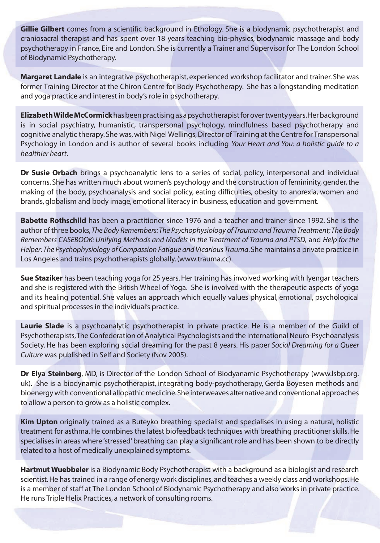**Gillie Gilbert** comes from a scientific background in Ethology. She is a biodynamic psychotherapist and craniosacral therapist and has spent over 18 years teaching bio-physics, biodynamic massage and body psychotherapy in France, Eire and London. She is currently a Trainer and Supervisor for The London School of Biodynamic Psychotherapy.

**Margaret Landale** is an integrative psychotherapist, experienced workshop facilitator and trainer. She was former Training Director at the Chiron Centre for Body Psychotherapy. She has a longstanding meditation and yoga practice and interest in body's role in psychotherapy.

**Elizabeth Wilde McCormick** has been practising as a psychotherapist for over twenty years. Her background is in social psychiatry, humanistic, transpersonal psychology, mindfulness based psychotherapy and cognitive analytic therapy. She was, with Nigel Wellings, Director of Training at the Centre for Transpersonal Psychology in London and is author of several books including *Your Heart and You: a holistic guide to a healthier heart*.

**Dr Susie Orbach** brings a psychoanalytic lens to a series of social, policy, interpersonal and individual concerns. She has written much about women's psychology and the construction of femininity, gender, the making of the body, psychoanalysis and social policy, eating difficulties, obesity to anorexia, women and brands, globalism and body image, emotional literacy in business, education and government.

**Babette Rothschild** has been a practitioner since 1976 and a teacher and trainer since 1992. She is the author of three books, *The Body Remembers: The Psychophysiology of Trauma and Trauma Treatment; The Body Remembers CASEBOOK: Unifying Methods and Models in the Treatment of Trauma and PTSD,* and *Help for the Helper: The Psychophysiology of Compassion Fatigue and Vicarious Trauma*. She maintains a private practice in Los Angeles and trains psychotherapists globally. (www.trauma.cc).

**Sue Staziker** has been teaching yoga for 25 years. Her training has involved working with Iyengar teachers and she is registered with the British Wheel of Yoga. She is involved with the therapeutic aspects of yoga and its healing potential. She values an approach which equally values physical, emotional, psychological and spiritual processes in the individual's practice.

Laurie Slade is a psychoanalytic psychotherapist in private practice. He is a member of the Guild of Psychotherapists, The Confederation of Analytical Psychologists and the International Neuro-Psychoanalysis Society. He has been exploring social dreaming for the past 8 years. His paper *Social Dreaming for a Queer Culture* was published in Self and Society (Nov 2005).

**Dr Elya Steinberg**, MD, is Director of the London School of Biodyanamic Psychotherapy (www.lsbp.org. uk). She is a biodynamic psychotherapist, integrating body-psychotherapy, Gerda Boyesen methods and bioenergy with conventional allopathic medicine. She interweaves alternative and conventional approaches to allow a person to grow as a holistic complex.

**Kim Upton** originally trained as a Buteyko breathing specialist and specialises in using a natural, holistic treatment for asthma. He combines the latest biofeedback techniques with breathing practitioner skills. He specialises in areas where 'stressed' breathing can play a significant role and has been shown to be directly related to a host of medically unexplained symptoms.

**Hartmut Wuebbeler** is a Biodynamic Body Psychotherapist with a background as a biologist and research scientist. He has trained in a range of energy work disciplines, and teaches a weekly class and workshops. He is a member of staff at The London School of Biodynamic Psychotherapy and also works in private practice. He runs Triple Helix Practices, a network of consulting rooms.